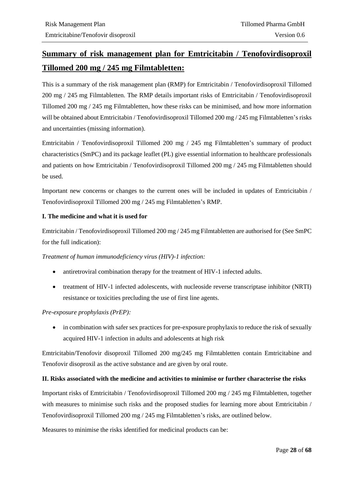# **Summary of risk management plan for Emtricitabin / Tenofovirdisoproxil Tillomed 200 mg / 245 mg Filmtabletten:**

This is a summary of the risk management plan (RMP) for Emtricitabin / Tenofovirdisoproxil Tillomed 200 mg / 245 mg Filmtabletten. The RMP details important risks of Emtricitabin / Tenofovirdisoproxil Tillomed 200 mg / 245 mg Filmtabletten, how these risks can be minimised, and how more information will be obtained about Emtricitabin / Tenofovirdisoproxil Tillomed 200 mg / 245 mg Filmtabletten's risks and uncertainties (missing information).

Emtricitabin / Tenofovirdisoproxil Tillomed 200 mg / 245 mg Filmtabletten's summary of product characteristics (SmPC) and its package leaflet (PL) give essential information to healthcare professionals and patients on how Emtricitabin / Tenofovirdisoproxil Tillomed 200 mg / 245 mg Filmtabletten should be used.

Important new concerns or changes to the current ones will be included in updates of Emtricitabin / Tenofovirdisoproxil Tillomed 200 mg / 245 mg Filmtabletten's RMP.

## **I. The medicine and what it is used for**

Emtricitabin / Tenofovirdisoproxil Tillomed 200 mg / 245 mg Filmtabletten are authorised for (See SmPC for the full indication):

*Treatment of human immunodeficiency virus (HIV)-1 infection:*

- antiretroviral combination therapy for the treatment of HIV-1 infected adults.
- treatment of HIV-1 infected adolescents, with nucleoside reverse transcriptase inhibitor (NRTI) resistance or toxicities precluding the use of first line agents.

## *Pre-exposure prophylaxis (PrEP):*

• in combination with safer sex practices for pre-exposure prophylaxis to reduce the risk of sexually acquired HIV-1 infection in adults and adolescents at high risk

Emtricitabin/Tenofovir disoproxil Tillomed 200 mg/245 mg Filmtabletten contain Emtricitabine and Tenofovir disoproxil as the active substance and are given by oral route.

## **II. Risks associated with the medicine and activities to minimise or further characterise the risks**

Important risks of Emtricitabin / Tenofovirdisoproxil Tillomed 200 mg / 245 mg Filmtabletten, together with measures to minimise such risks and the proposed studies for learning more about Emtricitabin / Tenofovirdisoproxil Tillomed 200 mg / 245 mg Filmtabletten's risks, are outlined below.

Measures to minimise the risks identified for medicinal products can be: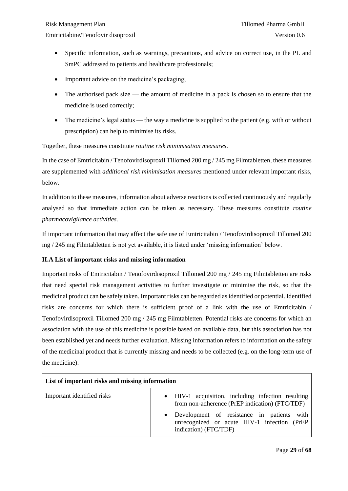- Specific information, such as warnings, precautions, and advice on correct use, in the PL and SmPC addressed to patients and healthcare professionals;
- Important advice on the medicine's packaging;
- The authorised pack size the amount of medicine in a pack is chosen so to ensure that the medicine is used correctly;
- The medicine's legal status the way a medicine is supplied to the patient (e.g. with or without prescription) can help to minimise its risks.

Together, these measures constitute *routine risk minimisation measures*.

In the case of Emtricitabin / Tenofovirdisoproxil Tillomed 200 mg / 245 mg Filmtabletten, these measures are supplemented with *additional risk minimisation measures* mentioned under relevant important risks, below.

In addition to these measures, information about adverse reactions is collected continuously and regularly analysed so that immediate action can be taken as necessary. These measures constitute *routine pharmacovigilance activities*.

If important information that may affect the safe use of Emtricitabin / Tenofovirdisoproxil Tillomed 200 mg / 245 mg Filmtabletten is not yet available, it is listed under 'missing information' below.

## **II.A List of important risks and missing information**

Important risks of Emtricitabin / Tenofovirdisoproxil Tillomed 200 mg / 245 mg Filmtabletten are risks that need special risk management activities to further investigate or minimise the risk, so that the medicinal product can be safely taken. Important risks can be regarded as identified or potential. Identified risks are concerns for which there is sufficient proof of a link with the use of Emtricitabin / Tenofovirdisoproxil Tillomed 200 mg / 245 mg Filmtabletten. Potential risks are concerns for which an association with the use of this medicine is possible based on available data, but this association has not been established yet and needs further evaluation. Missing information refers to information on the safety of the medicinal product that is currently missing and needs to be collected (e.g. on the long-term use of the medicine).

| List of important risks and missing information |                                                                                                                       |  |
|-------------------------------------------------|-----------------------------------------------------------------------------------------------------------------------|--|
| Important identified risks                      | • HIV-1 acquisition, including infection resulting<br>from non-adherence (PrEP indication) (FTC/TDF)                  |  |
|                                                 | Development of resistance in patients<br>with<br>unrecognized or acute HIV-1 infection (PrEP<br>indication) (FTC/TDF) |  |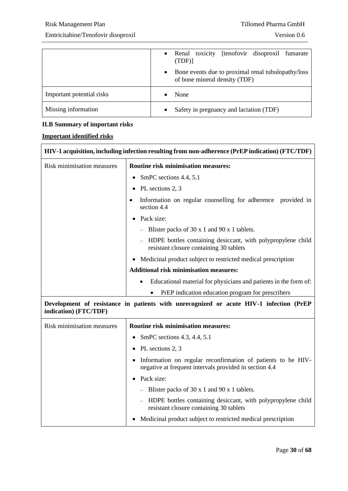Emtricitabine/Tenofovir disoproxil

 $\overline{\mathsf{I}}$ 

|                           | [tenofovir disoproxil fumarate]<br>Renal toxicity<br>$\bullet$<br>(TDF)<br>Bone events due to proximal renal tubulopathy/loss<br>$\bullet$ |
|---------------------------|--------------------------------------------------------------------------------------------------------------------------------------------|
| Important potential risks | of bone mineral density (TDF)<br>None<br>$\bullet$                                                                                         |
| Missing information       | Safety in pregnancy and lactation (TDF)<br>٠                                                                                               |

## **II.B Summary of important risks**

# **Important identified risks**

| HIV-1 acquisition, including infection resulting from non-adherence (PrEP indication) (FTC/TDF)                 |                                                                                                                             |  |
|-----------------------------------------------------------------------------------------------------------------|-----------------------------------------------------------------------------------------------------------------------------|--|
| Risk minimisation measures                                                                                      | <b>Routine risk minimisation measures:</b>                                                                                  |  |
|                                                                                                                 | SmPC sections 4.4, 5.1                                                                                                      |  |
|                                                                                                                 | PL sections 2, 3                                                                                                            |  |
|                                                                                                                 | Information on regular counselling for adherence provided in<br>section 4.4                                                 |  |
|                                                                                                                 | Pack size:                                                                                                                  |  |
|                                                                                                                 | - Blister packs of $30 \times 1$ and $90 \times 1$ tablets.                                                                 |  |
|                                                                                                                 | HDPE bottles containing desiccant, with polypropylene child<br>resistant closure containing 30 tablets                      |  |
|                                                                                                                 | • Medicinal product subject to restricted medical prescription                                                              |  |
|                                                                                                                 | <b>Additional risk minimisation measures:</b>                                                                               |  |
|                                                                                                                 | Educational material for physicians and patients in the form of:<br>٠                                                       |  |
|                                                                                                                 | PrEP indication education program for prescribers                                                                           |  |
| Development of resistance in patients with unrecognized or acute HIV-1 infection (PrEP<br>indication) (FTC/TDF) |                                                                                                                             |  |
| Risk minimisation measures                                                                                      | <b>Routine risk minimisation measures:</b>                                                                                  |  |
|                                                                                                                 | SmPC sections 4.3, 4.4, 5.1                                                                                                 |  |
|                                                                                                                 | PL sections 2, 3<br>٠                                                                                                       |  |
|                                                                                                                 | Information on regular reconfirmation of patients to be HIV-<br>٠<br>negative at frequent intervals provided in section 4.4 |  |
|                                                                                                                 | Pack size:                                                                                                                  |  |
|                                                                                                                 | Blister packs of 30 x 1 and 90 x 1 tablets.                                                                                 |  |
|                                                                                                                 | HDPE bottles containing desiccant, with polypropylene child<br>resistant closure containing 30 tablets                      |  |
|                                                                                                                 | Medicinal product subject to restricted medical prescription                                                                |  |